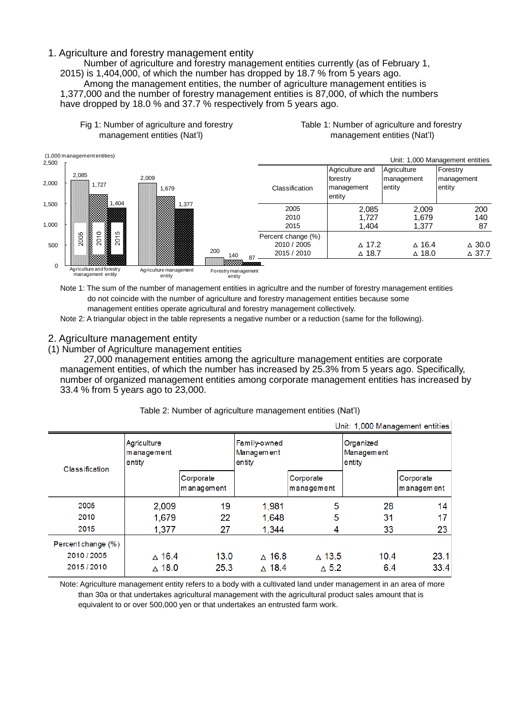## 1. Agriculture and forestry management entity

Number of agriculture and forestry management entities currently (as of February 1, 2015) is 1,404,000, of which the number has dropped by 18.7 % from 5 years ago. Among the management entities, the number of agriculture management entities is 1,377,000 and the number of forestry management entities is 87,000, of which the numbers have dropped by 18.0 % and 37.7 % respectively from 5 years ago.





Note 1: The sum of the number of management entities in agricultre and the number of forestry management entities do not coincide with the number of agriculture and forestry management entities because some management entities operate agricultural and forestry management collectively.

Note 2: A triangular object in the table represents a negative number or a reduction (same for the following).

### 2. Agriculture management entity

(1) Number of Agriculture management entities

27,000 management entities among the agriculture management entities are corporate management entities, of which the number has increased by 25.3% from 5 years ago. Specifically, number of organized management entities among corporate management entities has increased by 33.4 % from 5 years ago to 23,000.

|                    |                                     |                         |                                      |                         | Unit: 1,000 Management entities   |                         |
|--------------------|-------------------------------------|-------------------------|--------------------------------------|-------------------------|-----------------------------------|-------------------------|
| Classification     | Agriculture<br>management<br>entity |                         | Family-owned<br>Management<br>entity |                         | Organized<br>Management<br>entity |                         |
|                    |                                     | Corporate<br>management |                                      | Corporate<br>management |                                   | Corporate<br>management |
| 2005               | 2,009                               | 19                      | 1,981                                | 5                       | 28                                | 14                      |
| 2010               | 1,679                               | 22                      | 1,648                                | 5                       | 31                                | 17                      |
| 2015               | 1,377                               | 27                      | 1,344                                | 4                       | 33                                | 23                      |
| Percent change (%) |                                     |                         |                                      |                         |                                   |                         |
| 2010/2005          | $\triangle$ 16.4                    | 13.0                    | $\triangle$ 16.8                     | $\triangle$ 13.5        | 10.4                              | 23.1                    |
| 2015/2010          | $\wedge$ 18.0                       | 25.3                    | $\wedge$ 18.4                        | $\Delta$ 5.2            | 6.4                               | 33.4                    |

#### Table 2: Number of agriculture management entities (Nat'l)

Note: Agriculture management entity refers to a body with a cultivated land under management in an area of more than 30a or that undertakes agricultural management with the agricultural product sales amount that is equivalent to or over 500,000 yen or that undertakes an entrusted farm work.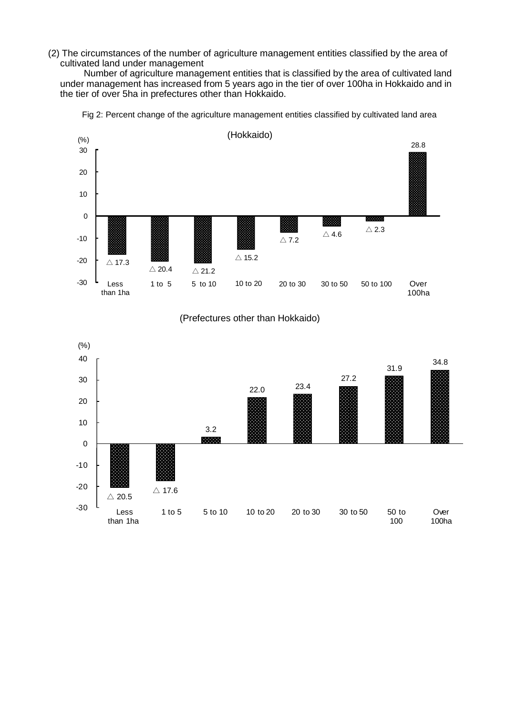(2) The circumstances of the number of agriculture management entities classified by the area of cultivated land under management

Number of agriculture management entities that is classified by the area of cultivated land under management has increased from 5 years ago in the tier of over 100ha in Hokkaido and in the tier of over 5ha in prefectures other than Hokkaido.



Fig 2: Percent change of the agriculture management entities classified by cultivated land area

### (Prefectures other than Hokkaido)

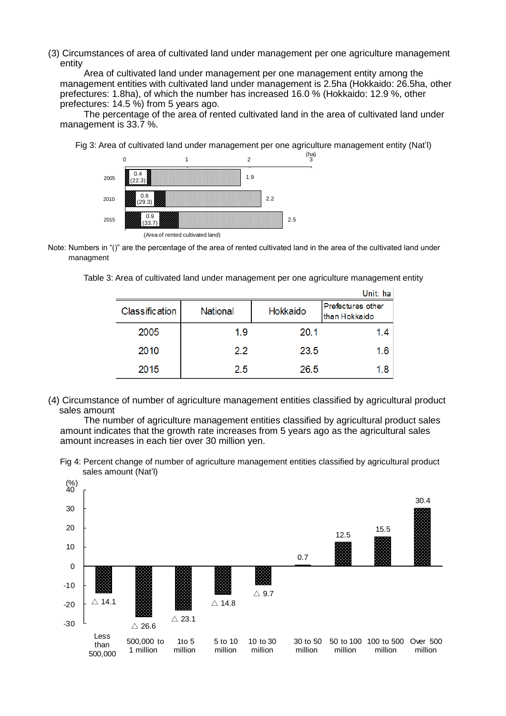(3) Circumstances of area of cultivated land under management per one agriculture management entity

Area of cultivated land under management per one management entity among the management entities with cultivated land under management is 2.5ha (Hokkaido: 26.5ha, other prefectures: 1.8ha), of which the number has increased 16.0 % (Hokkaido: 12.9 %, other prefectures: 14.5 %) from 5 years ago.

The percentage of the area of rented cultivated land in the area of cultivated land under management is 33.7 %.



Fig 3: Area of cultivated land under management per one agriculture management entity (Nat'l)

Note: Numbers in "()" are the percentage of the area of rented cultivated land in the area of the cultivated land under managment

Table 3: Area of cultivated land under management per one agriculture management entity

|                |                 |          | Unit: ha                           |
|----------------|-----------------|----------|------------------------------------|
| Classification | <b>National</b> | Hokkaido | Prefectures other<br>than Hokkaido |
| 2005           | 1.9             | 20.1     | 1.4                                |
| 2010           | 22              | 23.5     | 1.6                                |
| 2015           | 25              | 26.5     | 1.8                                |

(4) Circumstance of number of agriculture management entities classified by agricultural product sales amount

The number of agriculture management entities classified by agricultural product sales amount indicates that the growth rate increases from 5 years ago as the agricultural sales amount increases in each tier over 30 million yen.

Fig 4: Percent change of number of agriculture management entities classified by agricultural product sales amount (Nat'l)

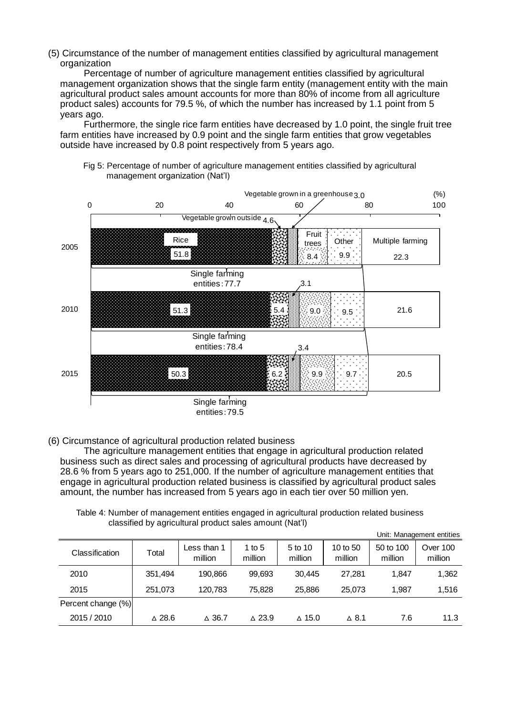(5) Circumstance of the number of management entities classified by agricultural management organization

Percentage of number of agriculture management entities classified by agricultural management organization shows that the single farm entity (management entity with the main agricultural product sales amount accounts for more than 80% of income from all agriculture product sales) accounts for 79.5 %, of which the number has increased by 1.1 point from 5 years ago.

Furthermore, the single rice farm entities have decreased by 1.0 point, the single fruit tree farm entities have increased by 0.9 point and the single farm entities that grow vegetables outside have increased by 0.8 point respectively from 5 years ago.





(6) Circumstance of agricultural production related business

The agriculture management entities that engage in agricultural production related business such as direct sales and processing of agricultural products have decreased by 28.6 % from 5 years ago to 251,000. If the number of agriculture management entities that engage in agricultural production related business is classified by agricultural product sales amount, the number has increased from 5 years ago in each tier over 50 million yen.

Table 4: Number of management entities engaged in agricultural production related business classified by agricultural product sales amount (Nat'l)

|                    |                  |                        |                   |                    |                     |                      | Unit: Management entities |
|--------------------|------------------|------------------------|-------------------|--------------------|---------------------|----------------------|---------------------------|
| Classification     | Total            | Less than 1<br>million | 1 to 5<br>million | 5 to 10<br>million | 10 to 50<br>million | 50 to 100<br>million | Over 100<br>million       |
| 2010               | 351,494          | 190.866                | 99,693            | 30.445             | 27.281              | 1.847                | 1,362                     |
| 2015               | 251.073          | 120,783                | 75.828            | 25.886             | 25.073              | 1.987                | 1,516                     |
| Percent change (%) |                  |                        |                   |                    |                     |                      |                           |
| 2015 / 2010        | $\triangle$ 28.6 | $\triangle$ 36.7       | $\triangle$ 23.9  | $\triangle$ 15.0   | $\Delta$ 8.1        | 7.6                  | 11.3                      |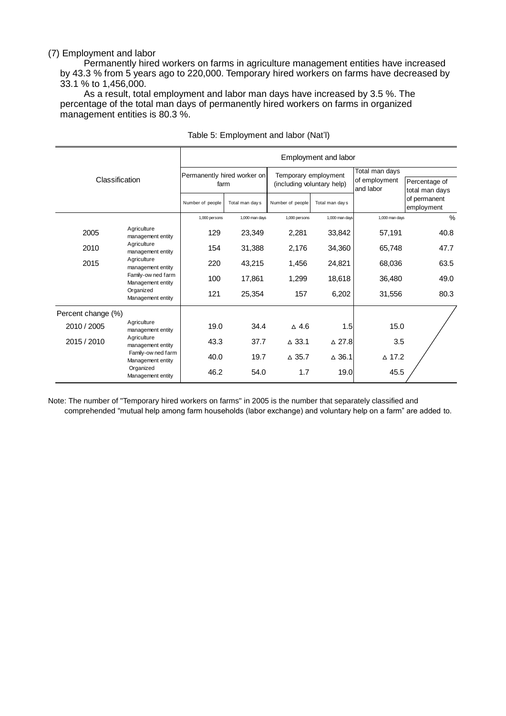### (7) Employment and labor

Permanently hired workers on farms in agriculture management entities have increased by 43.3 % from 5 years ago to 220,000. Temporary hired workers on farms have decreased by 33.1 % to 1,456,000.

As a result, total employment and labor man days have increased by 3.5 %. The percentage of the total man days of permanently hired workers on farms in organized management entities is 80.3 %.

| Classification     |                                         | Employment and labor                |                 |                                                    |                  |                                              |                                 |
|--------------------|-----------------------------------------|-------------------------------------|-----------------|----------------------------------------------------|------------------|----------------------------------------------|---------------------------------|
|                    |                                         | Permanently hired worker on<br>farm |                 | Temporary employment<br>(including voluntary help) |                  | Total man days<br>of employment<br>and labor | Percentage of<br>total man days |
|                    |                                         | Number of people                    | Total man day s | Number of people                                   | Total man day s  |                                              | of permanent<br>employment      |
|                    |                                         | 1,000 persons                       | 1,000 man days  | 1,000 persons                                      | 1,000 man days   | 1,000 man days                               | $\frac{6}{6}$                   |
| 2005               | Agriculture<br>management entity        | 129                                 | 23,349          | 2,281                                              | 33,842           | 57,191                                       | 40.8                            |
| 2010               | Agriculture<br>management entity        | 154                                 | 31,388          | 2,176                                              | 34,360           | 65,748                                       | 47.7                            |
| 2015               | Agriculture<br>management entity        | 220                                 | 43,215          | 1,456                                              | 24,821           | 68,036                                       | 63.5                            |
|                    | Family-ow ned farm<br>Management entity | 100                                 | 17,861          | 1,299                                              | 18,618           | 36,480                                       | 49.0                            |
|                    | Organized<br>Management entity          | 121                                 | 25,354          | 157                                                | 6,202            | 31,556                                       | 80.3                            |
| Percent change (%) |                                         |                                     |                 |                                                    |                  |                                              |                                 |
| 2010 / 2005        | Agriculture<br>management entity        | 19.0                                | 34.4            | $\triangle$ 4.6                                    | 1.5              | 15.0                                         |                                 |
| 2015 / 2010        | Agriculture<br>management entity        | 43.3                                | 37.7            | $\triangle$ 33.1                                   | $\triangle$ 27.8 | 3.5                                          |                                 |
|                    | Family-ow ned farm<br>Management entity | 40.0                                | 19.7            | $\triangle$ 35.7                                   | $\triangle$ 36.1 | $\triangle$ 17.2                             |                                 |
|                    | Organized<br>Management entity          | 46.2                                | 54.0            | 1.7                                                | 19.0             | 45.5                                         |                                 |

#### Table 5: Employment and labor (Nat'l)

Note: The number of "Temporary hired workers on farms" in 2005 is the number that separately classified and comprehended "mutual help among farm households (labor exchange) and voluntary help on a farm" are added to.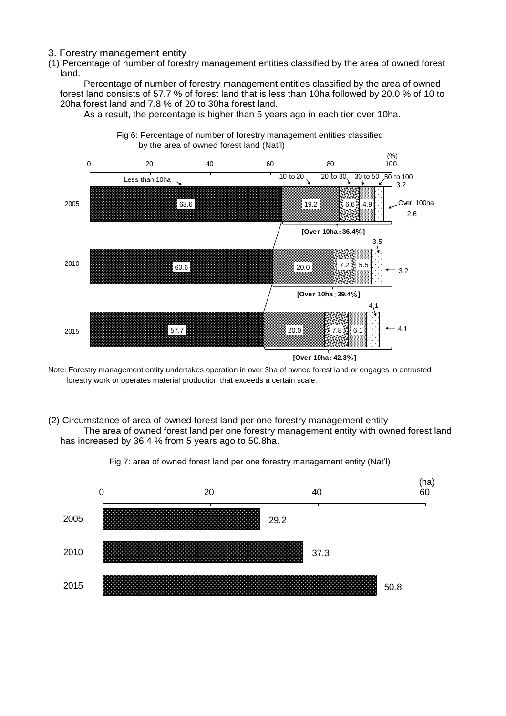- 3. Forestry management entity
- (1) Percentage of number of forestry management entities classified by the area of owned forest land.

Percentage of number of forestry management entities classified by the area of owned forest land consists of 57.7 % of forest land that is less than 10ha followed by 20.0 % of 10 to 20ha forest land and 7.8 % of 20 to 30ha forest land.

As a result, the percentage is higher than 5 years ago in each tier over 10ha. 0 20 40 60 80 100



Note: Forestry management entity undertakes operation in over 3ha of owned forest land or engages in entrusted forestry work or operates material production that exceeds a certain scale.

(2) Circumstance of area of owned forest land per one forestry management entity The area of owned forest land per one forestry management entity with owned forest land has increased by 36.4 % from 5 years ago to 50.8ha.



Fig 7: area of owned forest land per one forestry management entity (Nat'l)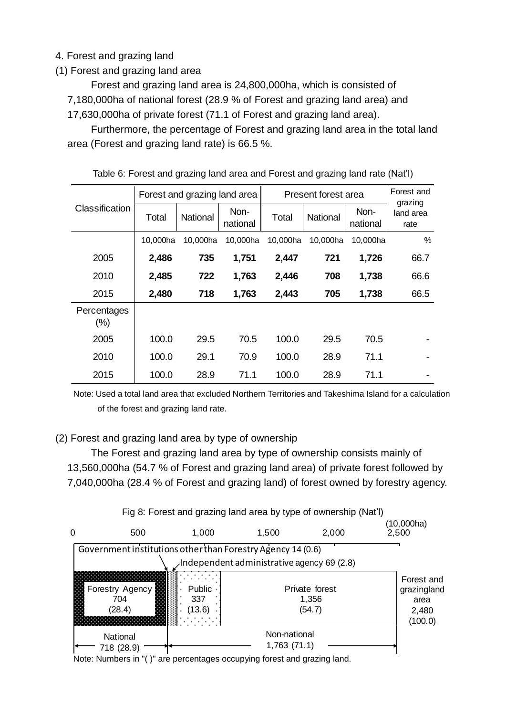# 4. Forest and grazing land

(1) Forest and grazing land area

Forest and grazing land area is 24,800,000ha, which is consisted of 7,180,000ha of national forest (28.9 % of Forest and grazing land area) and 17,630,000ha of private forest (71.1 of Forest and grazing land area).

Furthermore, the percentage of Forest and grazing land area in the total land area (Forest and grazing land rate) is 66.5 %.

|                        | Forest and grazing land area |          |                  | Present forest area |          |                  | Forest and<br>grazing |
|------------------------|------------------------------|----------|------------------|---------------------|----------|------------------|-----------------------|
| <b>Classification</b>  | Total                        | National | Non-<br>national | Total               | National | Non-<br>national | land area<br>rate     |
|                        | 10,000ha                     | 10,000ha | 10,000ha         | 10.000ha            | 10,000ha | 10,000ha         | %                     |
| 2005                   | 2,486                        | 735      | 1,751            | 2,447               | 721      | 1,726            | 66.7                  |
| 2010                   | 2,485                        | 722      | 1,763            | 2,446               | 708      | 1,738            | 66.6                  |
| 2015                   | 2,480                        | 718      | 1,763            | 2,443               | 705      | 1,738            | 66.5                  |
| Percentages<br>$(\% )$ |                              |          |                  |                     |          |                  |                       |
| 2005                   | 100.0                        | 29.5     | 70.5             | 100.0               | 29.5     | 70.5             |                       |
| 2010                   | 100.0                        | 29.1     | 70.9             | 100.0               | 28.9     | 71.1             |                       |
| 2015                   | 100.0                        | 28.9     | 71.1             | 100.0               | 28.9     | 71.1             |                       |

Table 6: Forest and grazing land area and Forest and grazing land rate (Nat'l)

Note: Used a total land area that excluded Northern Territories and Takeshima Island for a calculation of the forest and grazing land rate.

# (2) Forest and grazing land area by type of ownership

The Forest and grazing land area by type of ownership consists mainly of 13,560,000ha (54.7 % of Forest and grazing land area) of private forest followed by 7,040,000ha (28.4 % of Forest and grazing land) of forest owned by forestry agency.



Note: Numbers in "( )" are percentages occupying forest and grazing land. Note: Numbers in "( )" are percentages occupying forest and grazing land.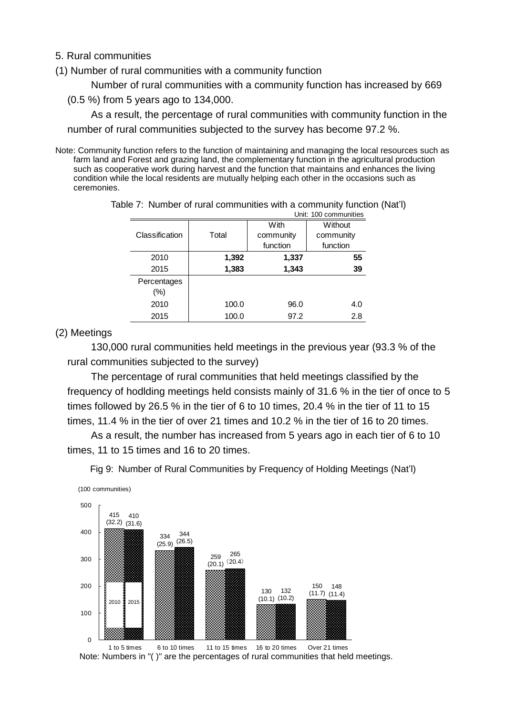5. Rural communities

(1) Number of rural communities with a community function

Number of rural communities with a community function has increased by 669

(0.5 %) from 5 years ago to 134,000.

As a result, the percentage of rural communities with community function in the number of rural communities subjected to the survey has become 97.2 %.

Note: Community function refers to the function of maintaining and managing the local resources such as farm land and Forest and grazing land, the complementary function in the agricultural production such as cooperative work during harvest and the function that maintains and enhances the living condition while the local residents are mutually helping each other in the occasions such as ceremonies.

| Unit: 100 communities |       |           |           |  |  |  |  |
|-----------------------|-------|-----------|-----------|--|--|--|--|
|                       |       | With      | Without   |  |  |  |  |
| Classification        | Total | community | community |  |  |  |  |
|                       |       | function  | function  |  |  |  |  |
| 2010                  | 1,392 | 1,337     | 55        |  |  |  |  |
| 2015                  | 1,383 | 1,343     | 39        |  |  |  |  |
| Percentages           |       |           |           |  |  |  |  |
| $(\% )$               |       |           |           |  |  |  |  |
| 2010                  | 100.0 | 96.0      | 4.0       |  |  |  |  |
| 2015                  | 100.0 | 97.2      | 2.8       |  |  |  |  |

Table 7: Number of rural communities with a community function (Nat'l)

## (2) Meetings

130,000 rural communities held meetings in the previous year (93.3 % of the rural communities subjected to the survey)

The percentage of rural communities that held meetings classified by the frequency of hodlding meetings held consists mainly of 31.6 % in the tier of once to 5 times followed by 26.5 % in the tier of 6 to 10 times, 20.4 % in the tier of 11 to 15 times, 11.4 % in the tier of over 21 times and 10.2 % in the tier of 16 to 20 times.

As a result, the number has increased from 5 years ago in each tier of 6 to 10 times, 11 to 15 times and 16 to 20 times.

Fig 9: Number of Rural Communities by Frequency of Holding Meetings (Nat'l)



Note: Numbers in "( )" are the percentages of rural communities that held meetings. Note: Numbers in "( )" are the percentages of rural communities that held meetings. 1 to 5 times 6 to 10 times 11 to 15 times 16 to 20 times Over 21 times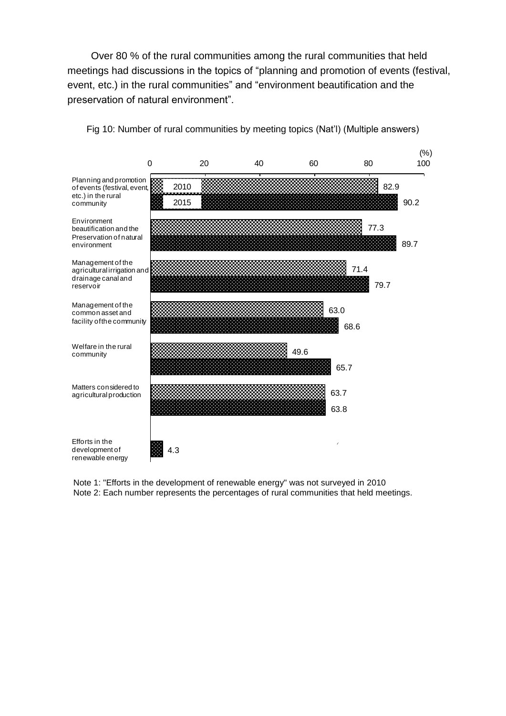Over 80 % of the rural communities among the rural communities that held meetings had discussions in the topics of "planning and promotion of events (festival, event, etc.) in the rural communities" and "environment beautification and the preservation of natural environment".



Fig 10: Number of rural communities by meeting topics (Nat'l) (Multiple answers)

Note 1: "Efforts in the development of renewable energy" was not surveyed in 2010 Note 2: Each number represents the percentages of rural communities that held meetings.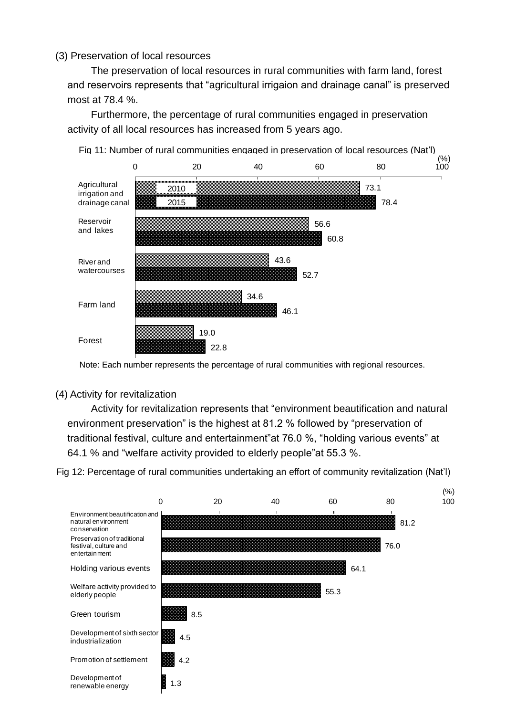# (3) Preservation of local resources

The preservation of local resources in rural communities with farm land, forest and reservoirs represents that "agricultural irrigaion and drainage canal" is preserved most at 78.4 %.

Furthermore, the percentage of rural communities engaged in preservation activity of all local resources has increased from 5 years ago.



Note: Each number represents the percentage of rural communities with regional resources.

## (4) Activity for revitalization

Activity for revitalization represents that "environment beautification and natural environment preservation" is the highest at 81.2 % followed by "preservation of traditional festival, culture and entertainment"at 76.0 %, "holding various events" at 64.1 % and "welfare activity provided to elderly people"at 55.3 %.

Fig 12: Percentage of rural communities undertaking an effort of community revitalization (Nat'l)